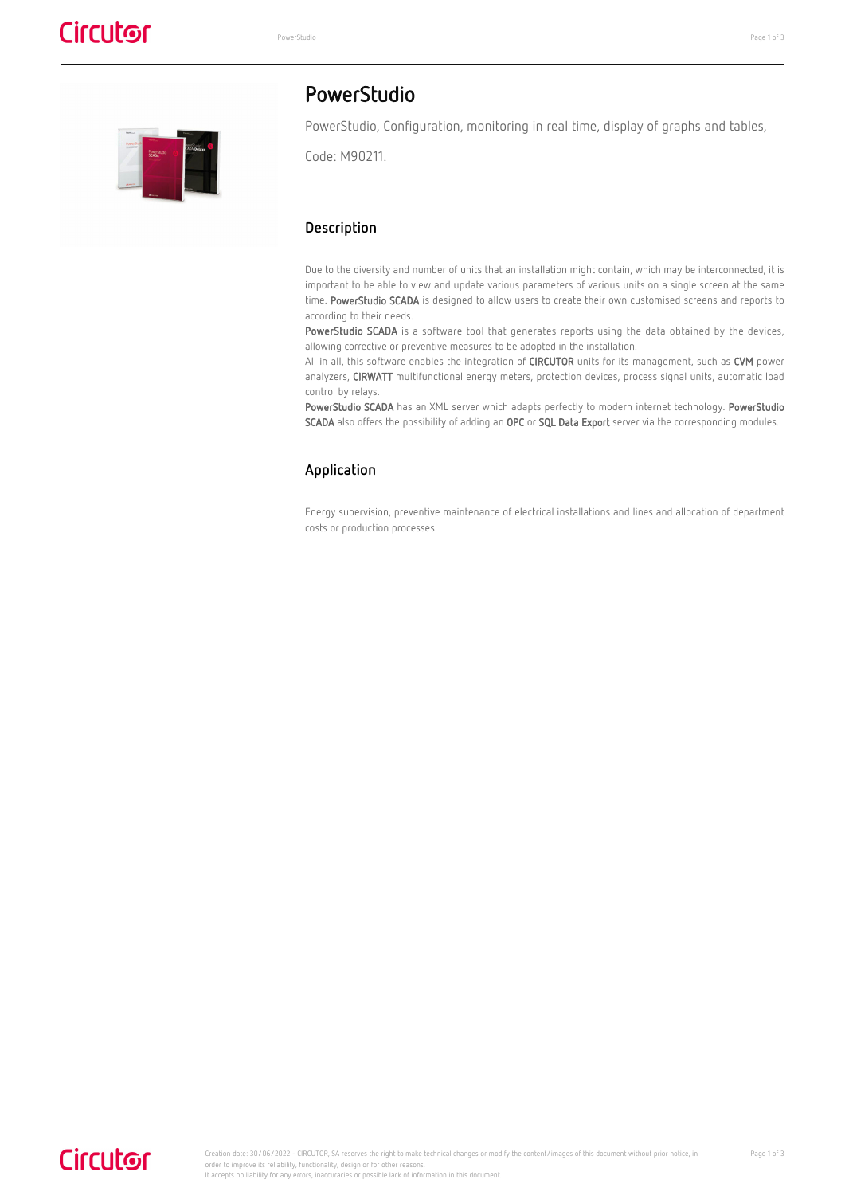

### PowerStudio

PowerStudio, Configuration, monitoring in real time, display of graphs and tables,

Code: M90211.

#### **Description**

Due to the diversity and number of units that an installation might contain, which may be interconnected, it is important to be able to view and update various parameters of various units on a single screen at the same time. PowerStudio SCADA is designed to allow users to create their own customised screens and reports to according to their needs.

PowerStudio SCADA is a software tool that generates reports using the data obtained by the devices, allowing corrective or preventive measures to be adopted in the installation.

All in all, this software enables the integration of CIRCUTOR units for its management, such as CVM power analyzers, CIRWATT multifunctional energy meters, protection devices, process signal units, automatic load control by relays.

PowerStudio SCADA has an XML server which adapts perfectly to modern internet technology. PowerStudio SCADA also offers the possibility of adding an OPC or SQL Data Export server via the corresponding modules.

#### **Application**

Energy supervision, preventive maintenance of electrical installations and lines and allocation of department costs or production processes.

## **Circutor**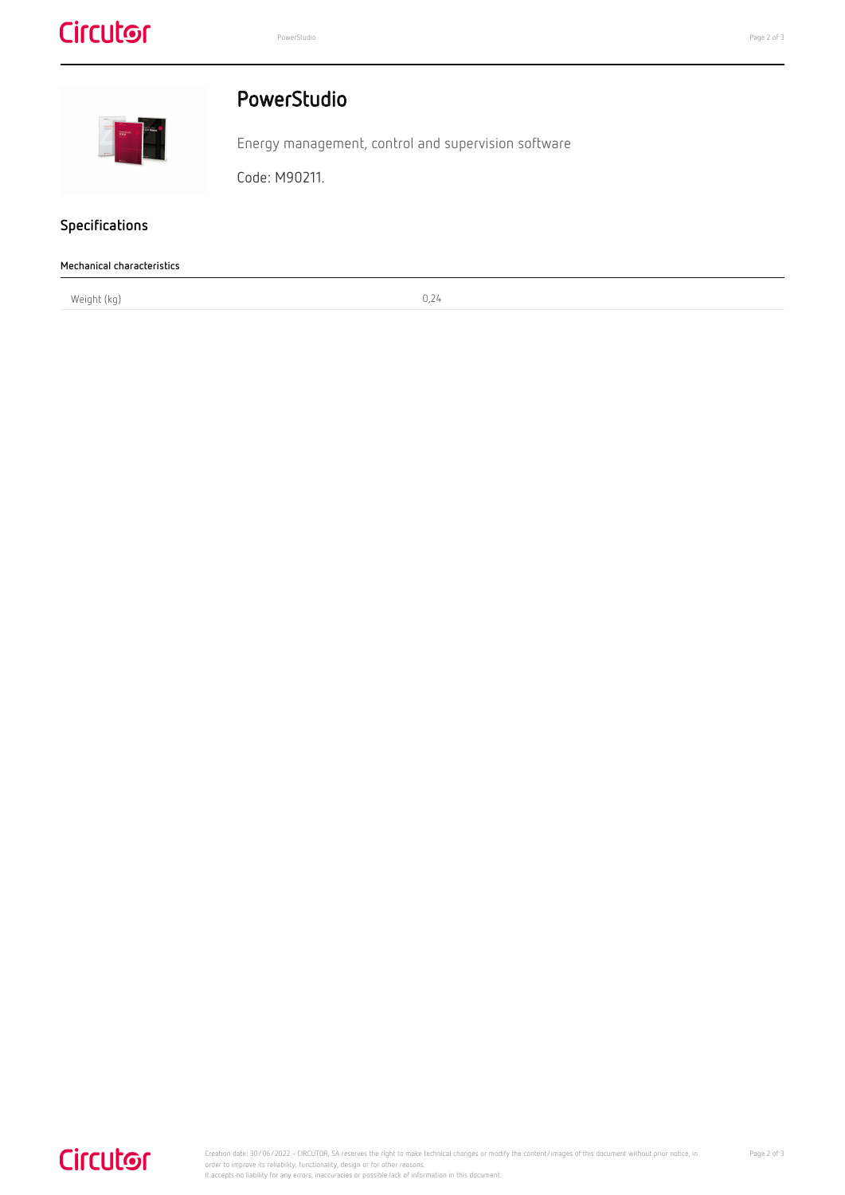# **Circutor**



### PowerStudio

Energy management, control and supervision software

Code: M90211.

### **Specifications**

J,

| Mechanical characteristics |       |  |
|----------------------------|-------|--|
| Weight (kg)                | U, Z4 |  |

# **Circutor**